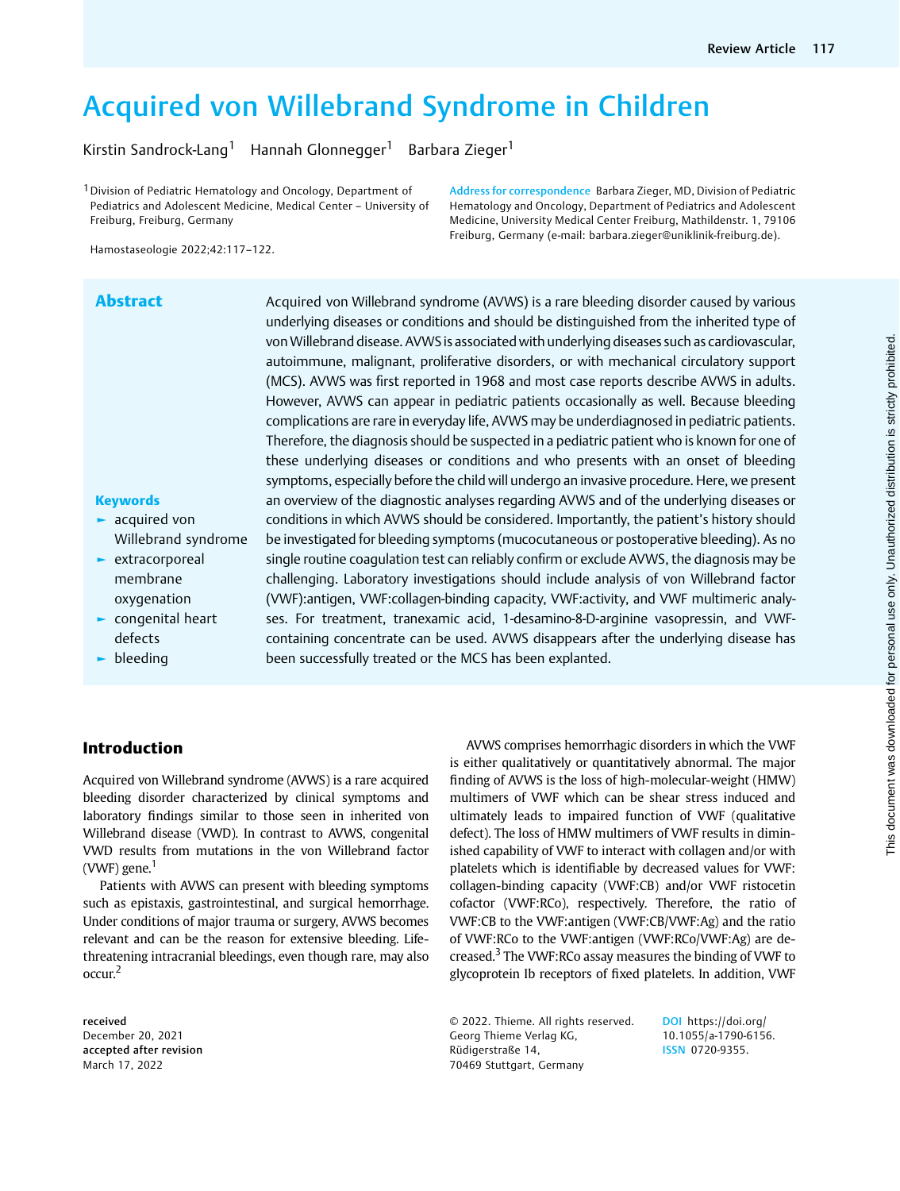# Acquired von Willebrand Syndrome in Children

Kirstin Sandrock-Lang<sup>1</sup> Hannah Glonnegger<sup>1</sup> Barbara Zieger<sup>1</sup>

1Division of Pediatric Hematology and Oncology, Department of Pediatrics and Adolescent Medicine, Medical Center – University of Freiburg, Freiburg, Germany

Address for correspondence Barbara Zieger, MD, Division of Pediatric Hematology and Oncology, Department of Pediatrics and Adolescent Medicine, University Medical Center Freiburg, Mathildenstr. 1, 79106 Freiburg, Germany (e-mail: [barbara.zieger@uniklinik-freiburg.de](mailto:barbara.zieger@uniklinik-freiburg.de)).

Hamostaseologie 2022;42:117–122.

Willebrand syndrome **Abstract** Acquired von Willebrand syndrome (AVWS) is a rare bleeding disorder caused by various underlying diseases or conditions and should be distinguished from the inherited type of vonWillebrand disease. AVWS is associated with underlying diseases such as cardiovascular, autoimmune, malignant, proliferative disorders, or with mechanical circulatory support (MCS). AVWS was first reported in 1968 and most case reports describe AVWS in adults. However, AVWS can appear in pediatric patients occasionally as well. Because bleeding complications are rare in everyday life, AVWS may be underdiagnosed in pediatric patients. Therefore, the diagnosis should be suspected in a pediatric patient who is known for one of these underlying diseases or conditions and who presents with an onset of bleeding symptoms, especially before the child will undergo an invasive procedure. Here, we present an overview of the diagnostic analyses regarding AVWS and of the underlying diseases or conditions in which AVWS should be considered. Importantly, the patient's history should be investigated for bleeding symptoms (mucocutaneous or postoperative bleeding). As no single routine coagulation test can reliably confirm or exclude AVWS, the diagnosis may be challenging. Laboratory investigations should include analysis of von Willebrand factor (VWF):antigen, VWF:collagen-binding capacity, VWF:activity, and VWF multimeric analyses. For treatment, tranexamic acid, 1-desamino-8-D-arginine vasopressin, and VWFcontaining concentrate can be used. AVWS disappears after the underlying disease has been successfully treated or the MCS has been explanted.

# ► extracorporeal membrane

**Keywords** ► acquired von

- oxygenation ► congenital heart defects
- ► bleeding
- 

# Introduction

Acquired von Willebrand syndrome (AVWS) is a rare acquired bleeding disorder characterized by clinical symptoms and laboratory findings similar to those seen in inherited von Willebrand disease (VWD). In contrast to AVWS, congenital VWD results from mutations in the von Willebrand factor (VWF) gene. $<sup>1</sup>$ </sup>

Patients with AVWS can present with bleeding symptoms such as epistaxis, gastrointestinal, and surgical hemorrhage. Under conditions of major trauma or surgery, AVWS becomes relevant and can be the reason for extensive bleeding. Lifethreatening intracranial bleedings, even though rare, may also occur.<sup>2</sup>

received December 20, 2021 accepted after revision March 17, 2022

AVWS comprises hemorrhagic disorders in which the VWF is either qualitatively or quantitatively abnormal. The major finding of AVWS is the loss of high-molecular-weight (HMW) multimers of VWF which can be shear stress induced and ultimately leads to impaired function of VWF (qualitative defect). The loss of HMW multimers of VWF results in diminished capability of VWF to interact with collagen and/or with platelets which is identifiable by decreased values for VWF: collagen-binding capacity (VWF:CB) and/or VWF ristocetin cofactor (VWF:RCo), respectively. Therefore, the ratio of VWF:CB to the VWF:antigen (VWF:CB/VWF:Ag) and the ratio of VWF:RCo to the VWF:antigen (VWF:RCo/VWF:Ag) are decreased.<sup>3</sup> The VWF:RCo assay measures the binding of VWF to glycoprotein Ib receptors of fixed platelets. In addition, VWF

© 2022. Thieme. All rights reserved. Georg Thieme Verlag KG, Rüdigerstraße 14, 70469 Stuttgart, Germany

DOI [https://doi.org/](https://doi.org/10.1055/a-1790-6156) [10.1055/a-1790-6156.](https://doi.org/10.1055/a-1790-6156) ISSN 0720-9355.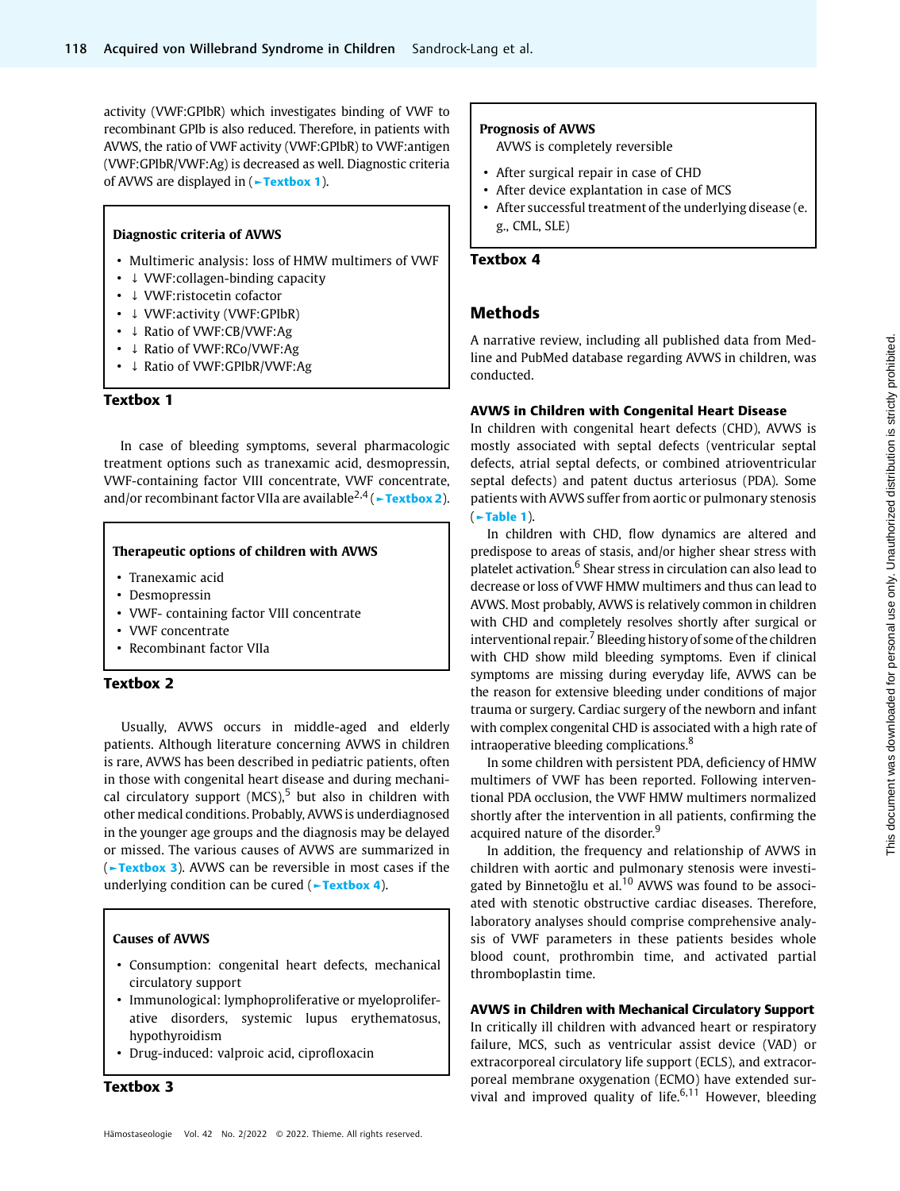activity (VWF:GPIbR) which investigates binding of VWF to recombinant GPIb is also reduced. Therefore, in patients with AVWS, the ratio of VWF activity (VWF:GPIbR) to VWF:antigen (VWF:GPIbR/VWF:Ag) is decreased as well. Diagnostic criteria of AVWS are displayed in ( $\blacktriangleright$ Textbox 1).

#### Diagnostic criteria of AVWS

- Multimeric analysis: loss of HMW multimers of VWF
- ↓ VWF:collagen-binding capacity
- ↓ VWF:ristocetin cofactor
- ↓ VWF:activity (VWF:GPIbR)
- ↓ Ratio of VWF:CB/VWF:Ag
- ↓ Ratio of VWF:RCo/VWF:Ag
- ↓ Ratio of VWF:GPIbR/VWF:Ag

#### Textbox 1

In case of bleeding symptoms, several pharmacologic treatment options such as tranexamic acid, desmopressin, VWF-containing factor VIII concentrate, VWF concentrate, and/or recombinant factor VIIa are available<sup>2,4</sup> ( $\sim$ Textbox 2).

#### Therapeutic options of children with AVWS

- Tranexamic acid
- Desmopressin
- VWF- containing factor VIII concentrate
- VWF concentrate
- Recombinant factor VIIa

# Textbox 2

Usually, AVWS occurs in middle-aged and elderly patients. Although literature concerning AVWS in children is rare, AVWS has been described in pediatric patients, often in those with congenital heart disease and during mechanical circulatory support  $(MCS)^5$  but also in children with other medical conditions. Probably, AVWS is underdiagnosed in the younger age groups and the diagnosis may be delayed or missed. The various causes of AVWS are summarized in (►Textbox 3). AVWS can be reversible in most cases if the underlying condition can be cured (Fextbox 4).

### Causes of AVWS

- Consumption: congenital heart defects, mechanical circulatory support
- Immunological: lymphoproliferative or myeloproliferative disorders, systemic lupus erythematosus, hypothyroidism
- Drug-induced: valproic acid, ciprofloxacin

Textbox 3

#### Prognosis of AVWS

- AVWS is completely reversible
- After surgical repair in case of CHD
- After device explantation in case of MCS
- After successful treatment of the underlying disease (e. g., CML, SLE)

#### Textbox 4

# Methods

A narrative review, including all published data from Medline and PubMed database regarding AVWS in children, was conducted.

#### AVWS in Children with Congenital Heart Disease

In children with congenital heart defects (CHD), AVWS is mostly associated with septal defects (ventricular septal defects, atrial septal defects, or combined atrioventricular septal defects) and patent ductus arteriosus (PDA). Some patients with AVWS suffer from aortic or pulmonary stenosis (►Table 1).

In children with CHD, flow dynamics are altered and predispose to areas of stasis, and/or higher shear stress with platelet activation.<sup>6</sup> Shear stress in circulation can also lead to decrease or loss of VWF HMW multimers and thus can lead to AVWS. Most probably, AVWS is relatively common in children with CHD and completely resolves shortly after surgical or interventional repair.<sup>7</sup> Bleeding history of some of the children with CHD show mild bleeding symptoms. Even if clinical symptoms are missing during everyday life, AVWS can be the reason for extensive bleeding under conditions of major trauma or surgery. Cardiac surgery of the newborn and infant with complex congenital CHD is associated with a high rate of intraoperative bleeding complications.<sup>8</sup>

In some children with persistent PDA, deficiency of HMW multimers of VWF has been reported. Following interventional PDA occlusion, the VWF HMW multimers normalized shortly after the intervention in all patients, confirming the acquired nature of the disorder.<sup>9</sup>

In addition, the frequency and relationship of AVWS in children with aortic and pulmonary stenosis were investigated by Binnetoğlu et al. $10$  AVWS was found to be associated with stenotic obstructive cardiac diseases. Therefore, laboratory analyses should comprise comprehensive analysis of VWF parameters in these patients besides whole blood count, prothrombin time, and activated partial thromboplastin time.

# AVWS in Children with Mechanical Circulatory Support

In critically ill children with advanced heart or respiratory failure, MCS, such as ventricular assist device (VAD) or extracorporeal circulatory life support (ECLS), and extracorporeal membrane oxygenation (ECMO) have extended survival and improved quality of life. $6,11$  However, bleeding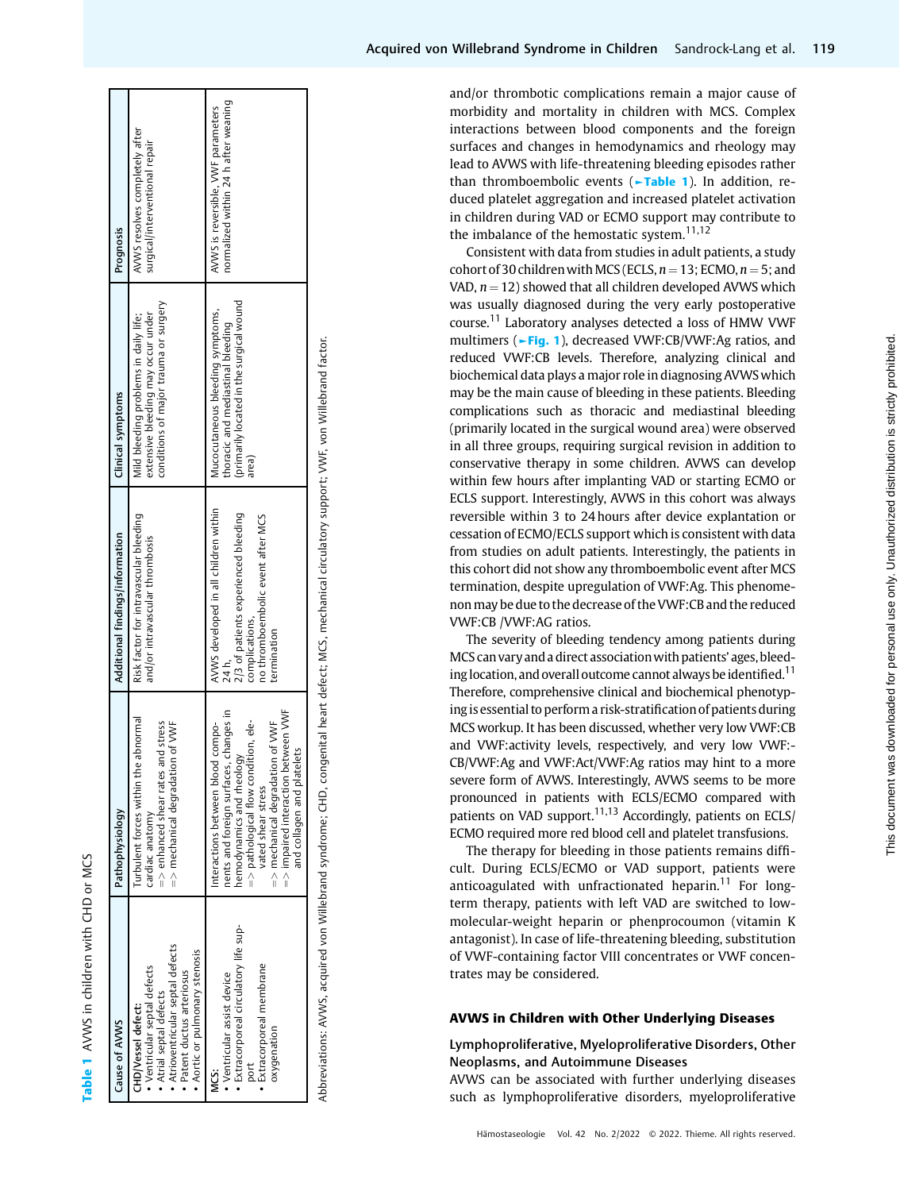| Cause of AVWS                                                                                                                                                                      | Pathophysiology                                                                                                                                                                                                                                                                             | Additional findings/information                                                                                                                              | Clinical symptoms                                                                                                          | Prognosis                                                                  |
|------------------------------------------------------------------------------------------------------------------------------------------------------------------------------------|---------------------------------------------------------------------------------------------------------------------------------------------------------------------------------------------------------------------------------------------------------------------------------------------|--------------------------------------------------------------------------------------------------------------------------------------------------------------|----------------------------------------------------------------------------------------------------------------------------|----------------------------------------------------------------------------|
| • Atrioventricular septal defects<br>• Aortic or pulmonary stenosis<br>· Ventricular septal defects<br>· Patent ductus arteriosus<br>• Atrial septal defects<br>CHD/Vessel defect: | Turbulent forces within the abnormal<br>stress<br>=> mechanical degradation of VWF<br>$=$ > enhanced shear rates and<br>cardiac anatomy                                                                                                                                                     | Risk factor for intravascular bleeding<br>and/or intravascular thrombosis                                                                                    | conditions of major trauma or surgery<br>extensive bleeding may occur under<br>Mild bleeding problems in daily life;       | AVWS resolves completely after<br>surgical/interventional repair           |
| • Extracorporeal circulatory life sup-<br>· Extracorporeal membrane<br>• Ventricular assist device<br>oxygenation<br>port<br><br>≥                                                 | en VWF<br>nents and foreign surfaces, changes in<br>=> pathological flow condition, ele-<br>$=$ $>$ mechanical degradation of VWF<br>interactions between blood compo-<br>hemodynamics and rheology<br>$=$ > impaired interaction betwe<br>and collagen and platelets<br>vated shear stress | AVWS developed in all children within<br>2/3 of patients experienced bleeding<br>no thromboembolic event after MCS<br>complications,<br>termination<br>24 h, | (primarily located in the surgical wound<br>Mucocutaneous bleeding symptoms,<br>thoracic and mediastinal bleeding<br>area) | normalized within 24 h after weaning<br>AVWS is reversible, VWF parameters |

**Table 1 AVWS** in children with CHD or MCS

AVWS in children with CHD or MCS

Abbreviations: AVWS, acquired von Willebrand syndrome; CHD, congenital heart defect; MCS, mechanical circulatory support; VWF, von Willebrand factor. Abbreviations: AVWS, acquired von Willebrand syndrome; CHD, congenital heart defect; MCS, mechanical circulatory support; VWF, von Willebrand factor. and/or thrombotic complications remain a major cause of morbidity and mortality in children with MCS. Complex interactions between blood components and the foreign surfaces and changes in hemodynamics and rheology may lead to AVWS with life-threatening bleeding episodes rather than thromboembolic events (**−Table 1**). In addition, reduced platelet aggregation and increased platelet activation in children during VAD or ECMO support may contribute to the imbalance of the hemostatic system. $11,12$ 

Consistent with data from studies in adult patients, a study cohort of 30 children with MCS (ECLS,  $n = 13$ ; ECMO,  $n = 5$ ; and VAD,  $n = 12$ ) showed that all children developed AVWS which was usually diagnosed during the very early postoperative course.<sup>11</sup> Laboratory analyses detected a loss of HMW VWF multimers (►**Fig. 1**), decreased VWF:CB/VWF:Ag ratios, and reduced VWF:CB levels. Therefore, analyzing clinical and biochemical data plays a major role in diagnosing AVWSwhich may be the main cause of bleeding in these patients. Bleeding complications such as thoracic and mediastinal bleeding (primarily located in the surgical wound area) were observed in all three groups, requiring surgical revision in addition to conservative therapy in some children. AVWS can develop within few hours after implanting VAD or starting ECMO or ECLS support. Interestingly, AVWS in this cohort was always reversible within 3 to 24 hours after device explantation or cessation of ECMO/ECLS support which is consistent with data from studies on adult patients. Interestingly, the patients in this cohort did not show any thromboembolic event after MCS termination, despite upregulation of VWF:Ag. This phenomenon may be due to the decrease of the VWF:CB and the reduced VWF:CB /VWF:AG ratios.

The severity of bleeding tendency among patients during MCS can vary and a direct associationwith patients ' ages, bleeding location, and overall outcome cannot always be identified.<sup>11</sup> Therefore, comprehensive clinical and biochemical phenotyping is essential to perform a risk-stratification of patients during MCS workup. It has been discussed, whether very low VWF:CB and VWF:activity levels, respectively, and very low VWF:- CB/VWF:Ag and VWF:Act/VWF:Ag ratios may hint to a more severe form of AVWS. Interestingly, AVWS seems to be more pronounced in patients with ECLS/ECMO compared with patients on VAD support.<sup>11,13</sup> Accordingly, patients on ECLS/ ECMO required more red blood cell and platelet transfusions.

The therapy for bleeding in those patients remains diffi cult. During ECLS/ECMO or VAD support, patients were anticoagulated with unfractionated heparin.<sup>11</sup> For longterm therapy, patients with left VAD are switched to lowmolecular-weight heparin or phenprocoumon (vitamin K antagonist). In case of life-threatening bleeding, substitution of VWF-containing factor VIII concentrates or VWF concentrates may be considered.

### AVWS in Children with Other Underlying Diseases

# Lymphoproliferative, Myeloproliferative Disorders, Other Neoplasms, and Autoimmune Diseases

AVWS can be associated with further underlying diseases such as lymphoproliferative disorders, myeloproliferative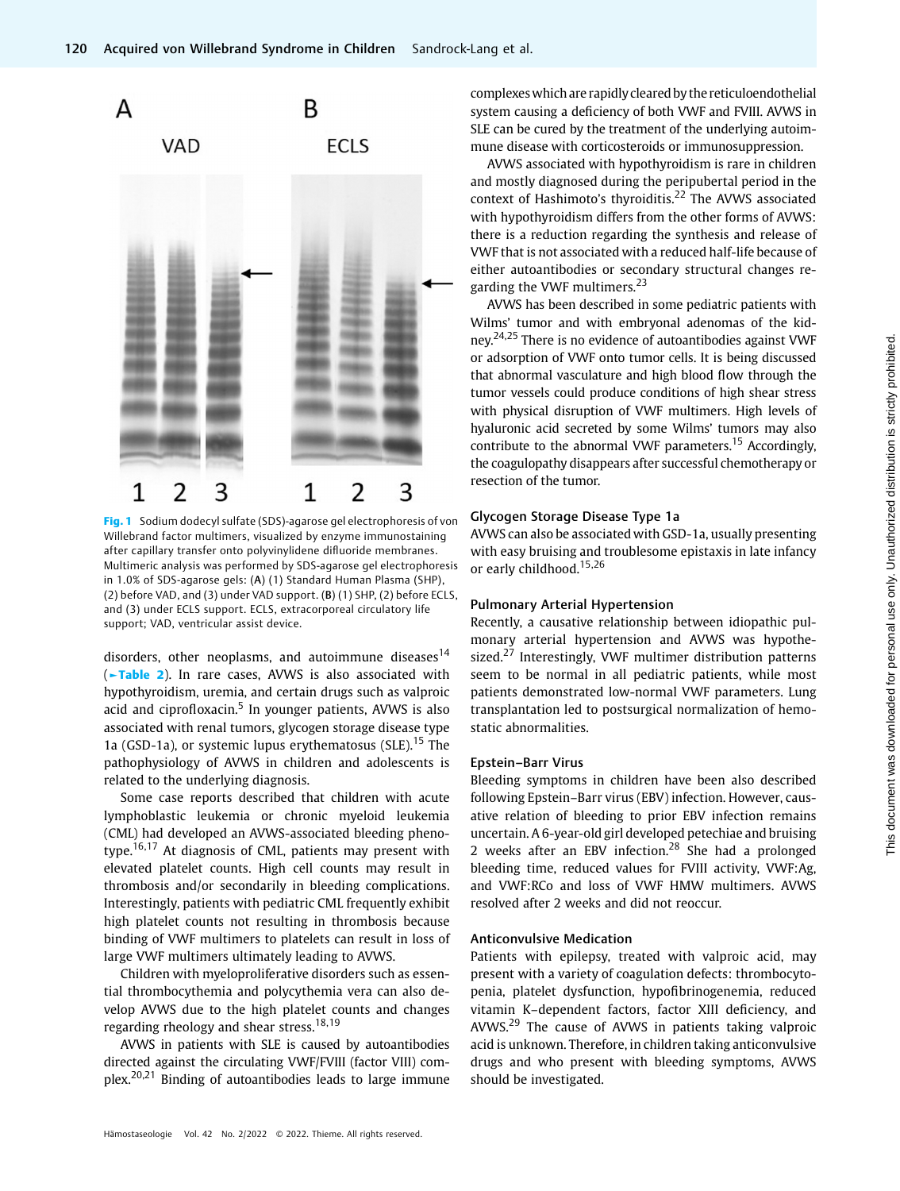

Fig. 1 Sodium dodecyl sulfate (SDS)-agarose gel electrophoresis of von Willebrand factor multimers, visualized by enzyme immunostaining after capillary transfer onto polyvinylidene difluoride membranes. Multimeric analysis was performed by SDS-agarose gel electrophoresis in 1.0% of SDS-agarose gels: (A) (1) Standard Human Plasma (SHP), (2) before VAD, and (3) under VAD support. (B) (1) SHP, (2) before ECLS, and (3) under ECLS support. ECLS, extracorporeal circulatory life support; VAD, ventricular assist device.

disorders, other neoplasms, and autoimmune diseases $14$ (►Table 2). In rare cases, AVWS is also associated with hypothyroidism, uremia, and certain drugs such as valproic acid and ciprofloxacin. $5$  In younger patients, AVWS is also associated with renal tumors, glycogen storage disease type 1a (GSD-1a), or systemic lupus erythematosus (SLE).<sup>15</sup> The pathophysiology of AVWS in children and adolescents is related to the underlying diagnosis.

Some case reports described that children with acute lymphoblastic leukemia or chronic myeloid leukemia (CML) had developed an AVWS-associated bleeding phenotype.<sup>16,17</sup> At diagnosis of CML, patients may present with elevated platelet counts. High cell counts may result in thrombosis and/or secondarily in bleeding complications. Interestingly, patients with pediatric CML frequently exhibit high platelet counts not resulting in thrombosis because binding of VWF multimers to platelets can result in loss of large VWF multimers ultimately leading to AVWS.

Children with myeloproliferative disorders such as essential thrombocythemia and polycythemia vera can also develop AVWS due to the high platelet counts and changes regarding rheology and shear stress.<sup>18,19</sup>

AVWS in patients with SLE is caused by autoantibodies directed against the circulating VWF/FVIII (factor VIII) complex.20,21 Binding of autoantibodies leads to large immune complexeswhich are rapidly cleared by the reticuloendothelial system causing a deficiency of both VWF and FVIII. AVWS in SLE can be cured by the treatment of the underlying autoimmune disease with corticosteroids or immunosuppression.

AVWS associated with hypothyroidism is rare in children and mostly diagnosed during the peripubertal period in the context of Hashimoto's thyroiditis.<sup>22</sup> The AVWS associated with hypothyroidism differs from the other forms of AVWS: there is a reduction regarding the synthesis and release of VWF that is not associated with a reduced half-life because of either autoantibodies or secondary structural changes regarding the VWF multimers.<sup>23</sup>

AVWS has been described in some pediatric patients with Wilms' tumor and with embryonal adenomas of the kidney.24,25 There is no evidence of autoantibodies against VWF or adsorption of VWF onto tumor cells. It is being discussed that abnormal vasculature and high blood flow through the tumor vessels could produce conditions of high shear stress with physical disruption of VWF multimers. High levels of hyaluronic acid secreted by some Wilms' tumors may also contribute to the abnormal VWF parameters.<sup>15</sup> Accordingly, the coagulopathy disappears after successful chemotherapy or resection of the tumor.

#### Glycogen Storage Disease Type 1a

AVWS can also be associated with GSD-1a, usually presenting with easy bruising and troublesome epistaxis in late infancy or early childhood.<sup>15,26</sup>

#### Pulmonary Arterial Hypertension

Recently, a causative relationship between idiopathic pulmonary arterial hypertension and AVWS was hypothesized.<sup>27</sup> Interestingly, VWF multimer distribution patterns seem to be normal in all pediatric patients, while most patients demonstrated low-normal VWF parameters. Lung transplantation led to postsurgical normalization of hemostatic abnormalities.

# Epstein–Barr Virus

Bleeding symptoms in children have been also described following Epstein–Barr virus (EBV) infection. However, causative relation of bleeding to prior EBV infection remains uncertain. A 6-year-old girl developed petechiae and bruising 2 weeks after an EBV infection.<sup>28</sup> She had a prolonged bleeding time, reduced values for FVIII activity, VWF:Ag, and VWF:RCo and loss of VWF HMW multimers. AVWS resolved after 2 weeks and did not reoccur.

### Anticonvulsive Medication

Patients with epilepsy, treated with valproic acid, may present with a variety of coagulation defects: thrombocytopenia, platelet dysfunction, hypofibrinogenemia, reduced vitamin K–dependent factors, factor XIII deficiency, and AVWS.<sup>29</sup> The cause of AVWS in patients taking valproic acid is unknown. Therefore, in children taking anticonvulsive drugs and who present with bleeding symptoms, AVWS should be investigated.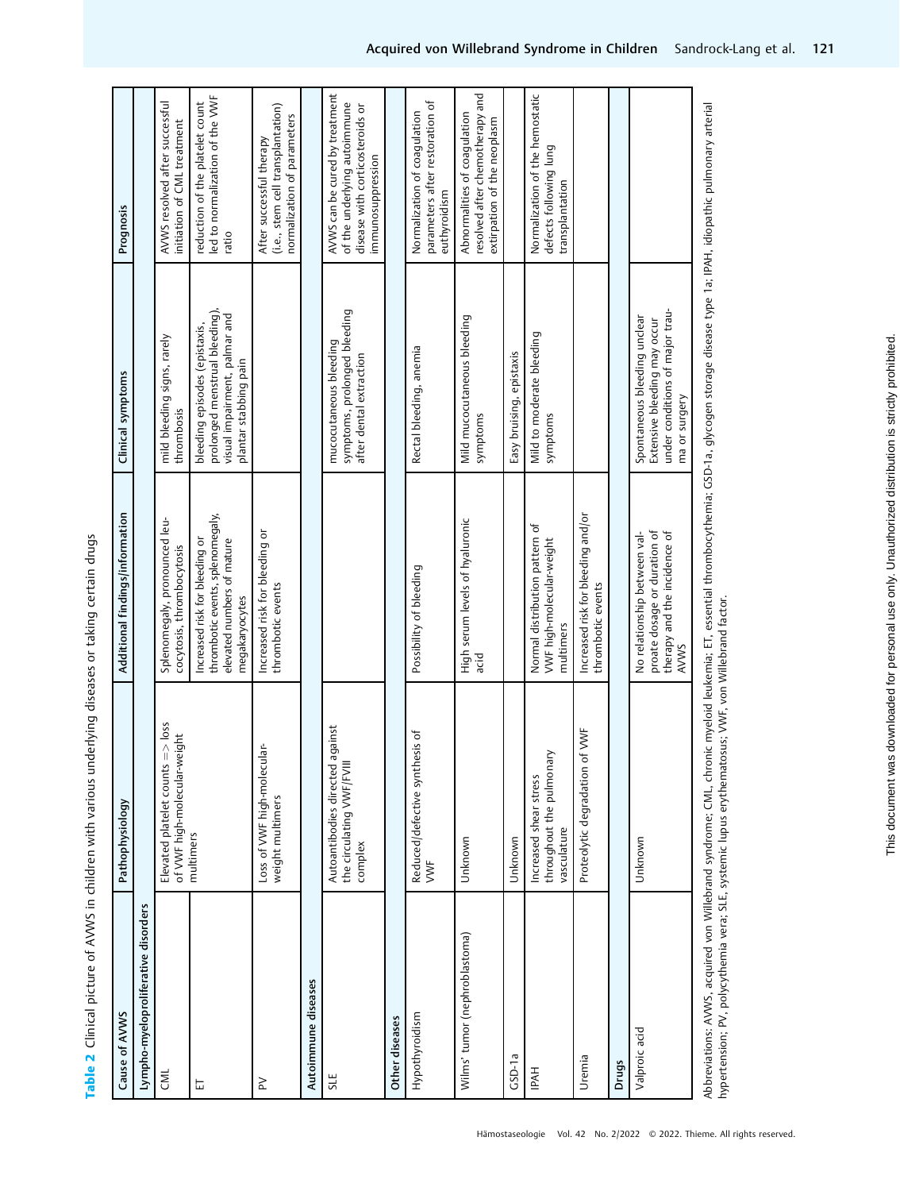Table 2 Clinical picture of AVWS in children with various underlying diseases or taking certain drugs Table 2 Clinical picture of AVWS in children with various underlying diseases or taking certain drugs

| Cause of AVWS                       | Pathophysiology                                                             | Additional findings/information                                                                                    | Clinical symptoms                                                                                                         | Prognosis                                                                                                              |
|-------------------------------------|-----------------------------------------------------------------------------|--------------------------------------------------------------------------------------------------------------------|---------------------------------------------------------------------------------------------------------------------------|------------------------------------------------------------------------------------------------------------------------|
| Lympho-myeloproliferative disorders |                                                                             |                                                                                                                    |                                                                                                                           |                                                                                                                        |
| <b>ENT</b>                          | Elevated platelet counts $\Rightarrow$ loss<br>of VWF high-molecular-weight | Splenomegaly, pronounced leu-<br>cocytosis, thrombocytosis                                                         | mild bleeding signs, rarely<br>thrombosis                                                                                 | AVWS resolved after successful<br>initiation of CML treatment                                                          |
| 岀                                   | multimers                                                                   | thrombotic events, splenomegaly,<br>Increased risk for bleeding or<br>elevated numbers of mature<br>megakaryocytes | prolonged menstrual bleeding),<br>visual impairment, palmar and<br>bleeding episodes (epistaxis,<br>plantar stabbing pain | led to normalization of the VWF<br>reduction of the platelet count<br>ratio                                            |
| ≧                                   | Loss of VWF high-molecular-<br>weight multimers                             | Increased risk for bleeding or<br>thrombotic events                                                                |                                                                                                                           | (i.e., stem cell transplantation)<br>normalization of parameters<br>After successful therapy                           |
| Autoimmune diseases                 |                                                                             |                                                                                                                    |                                                                                                                           |                                                                                                                        |
| SLE                                 | Autoantibodies directed against<br>the circulating VWF/FVIII<br>complex     |                                                                                                                    | symptoms, prolonged bleeding<br>mucocutaneous bleeding<br>after dental extraction                                         | AVWS can be cured by treatment<br>of the underlying autoimmune<br>disease with corticosteroids or<br>immunosuppression |
| Other diseases                      |                                                                             |                                                                                                                    |                                                                                                                           |                                                                                                                        |
| Hypothyroidism                      | Reduced/defective synthesis of<br>$\mathsf{V}\mathsf{W}\mathsf{F}$          | Possibility of bleeding                                                                                            | Rectal bleeding, anemia                                                                                                   | parameters after restoration of<br>Normalization of coagulation<br>euthyroidism                                        |
| Wilms' tumor (nephroblastoma)       | Unknown                                                                     | High serum levels of hyaluronic<br>acid                                                                            | Mild mucocutaneous bleeding<br>symptoms                                                                                   | resolved after chemotherapy and<br>Abnormalities of coagulation<br>extirpation of the neoplasm                         |
| $GSD-1a$                            | Unknown                                                                     |                                                                                                                    | Easy bruising, epistaxis                                                                                                  |                                                                                                                        |
| <b>IPAH</b>                         | throughout the pulmonary<br>Increased shear stress<br>vasculature           | Normal distribution pattern of<br>VWF high-molecular-weight<br>multimers                                           | Mild to moderate bleeding<br>symptoms                                                                                     | Normalization of the hemostatic<br>defects following lung<br>transplantation                                           |
| Uremia                              | <b>VWF</b><br>Proteolytic degradation of                                    | Increased risk for bleeding and/or<br>thrombotic events                                                            |                                                                                                                           |                                                                                                                        |
| Drugs                               |                                                                             |                                                                                                                    |                                                                                                                           |                                                                                                                        |
| Valproic acid                       | Unknown                                                                     | proate dosage or duration of<br>therapy and the incidence of<br>No relationship between val-<br>AVWS               | under conditions of major trau-<br>Spontaneous bleeding unclear<br>Extensive bleeding may occur<br>ma or surgery          |                                                                                                                        |
|                                     |                                                                             |                                                                                                                    |                                                                                                                           |                                                                                                                        |

Abbreviations: AVWS, acquired von Willebrand syndrome; CML, chronic myeloid leukemia; ET, essential thrombocythemia; GSD-1a, glycogen storage disease type 1a; IPAH, idiopathic pulmonary arterial<br>hypertension; PV, polycythe Abbreviations: AVWS, acquired von Willebrand syndrome; CML, chronic myeloid leukemia; ET, essential thrombocythemia; GSD-1a, glycogen storage disease type 1a; IPAH, idiopathic pulmonary arterial hypertension; PV, polycythemia vera; SLE, systemic lupus erythematosus; VWF, von Willebrand factor.